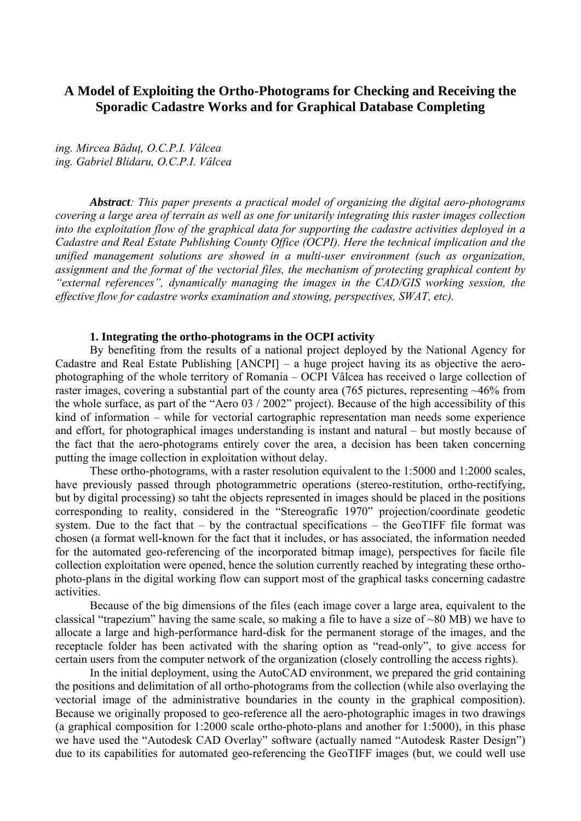# **A Model of Exploiting the Ortho-Photograms for Checking and Receiving the Sporadic Cadastre Works and for Graphical Database Completing**

*ing. Mircea Băduţ, O.C.P.I. Vâlcea ing. Gabriel Blidaru, O.C.P.I. Vâlcea* 

*Abstract: This paper presents a practical model of organizing the digital aero-photograms covering a large area of terrain as well as one for unitarily integrating this raster images collection into the exploitation flow of the graphical data for supporting the cadastre activities deployed in a Cadastre and Real Estate Publishing County Office (OCPI). Here the technical implication and the unified management solutions are showed in a multi-user environment (such as organization, assignment and the format of the vectorial files, the mechanism of protecting graphical content by "external references", dynamically managing the images in the CAD/GIS working session, the effective flow for cadastre works examination and stowing, perspectives, SWAT, etc).* 

## **1. Integrating the ortho-photograms in the OCPI activity**

By benefiting from the results of a national project deployed by the National Agency for Cadastre and Real Estate Publishing [ANCPI] – a huge project having its as objective the aerophotographing of the whole territory of Romania – OCPI Vâlcea has received o large collection of raster images, covering a substantial part of the county area (765 pictures, representing ~46% from the whole surface, as part of the "Aero 03 / 2002" project). Because of the high accessibility of this kind of information – while for vectorial cartographic representation man needs some experience and effort, for photographical images understanding is instant and natural – but mostly because of the fact that the aero-photograms entirely cover the area, a decision has been taken concerning putting the image collection in exploitation without delay.

These ortho-photograms, with a raster resolution equivalent to the 1:5000 and 1:2000 scales, have previously passed through photogrammetric operations (stereo-restitution, ortho-rectifying, but by digital processing) so taht the objects represented in images should be placed in the positions corresponding to reality, considered in the "Stereografic 1970" projection/coordinate geodetic system. Due to the fact that  $-$  by the contractual specifications  $-$  the GeoTIFF file format was chosen (a format well-known for the fact that it includes, or has associated, the information needed for the automated geo-referencing of the incorporated bitmap image), perspectives for facile file collection exploitation were opened, hence the solution currently reached by integrating these orthophoto-plans in the digital working flow can support most of the graphical tasks concerning cadastre activities.

Because of the big dimensions of the files (each image cover a large area, equivalent to the classical "trapezium" having the same scale, so making a file to have a size of ~80 MB) we have to allocate a large and high-performance hard-disk for the permanent storage of the images, and the receptacle folder has been activated with the sharing option as "read-only", to give access for certain users from the computer network of the organization (closely controlling the access rights).

In the initial deployment, using the AutoCAD environment, we prepared the grid containing the positions and delimitation of all ortho-photograms from the collection (while also overlaying the vectorial image of the administrative boundaries in the county in the graphical composition). Because we originally proposed to geo-reference all the aero-photographic images in two drawings (a graphical composition for 1:2000 scale ortho-photo-plans and another for 1:5000), in this phase we have used the "Autodesk CAD Overlay" software (actually named "Autodesk Raster Design") due to its capabilities for automated geo-referencing the GeoTIFF images (but, we could well use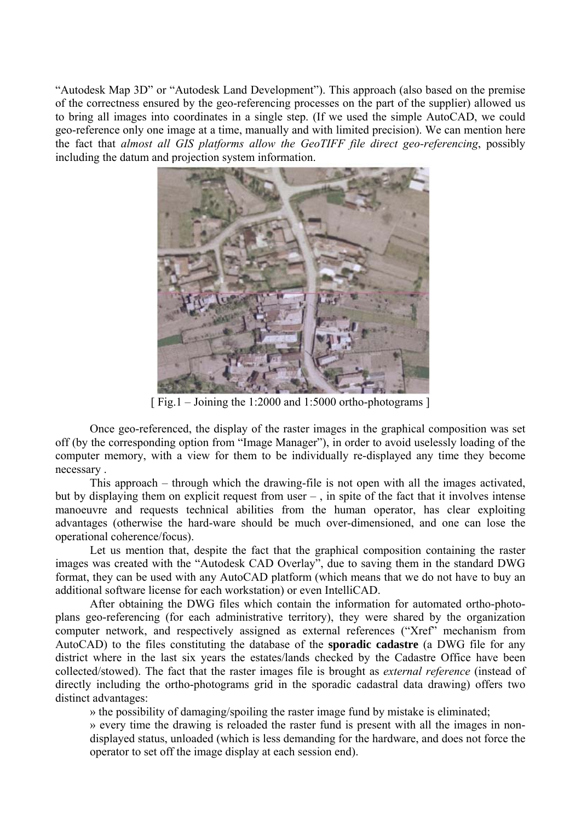"Autodesk Map 3D" or "Autodesk Land Development"). This approach (also based on the premise of the correctness ensured by the geo-referencing processes on the part of the supplier) allowed us to bring all images into coordinates in a single step. (If we used the simple AutoCAD, we could geo-reference only one image at a time, manually and with limited precision). We can mention here the fact that *almost all GIS platforms allow the GeoTIFF file direct geo-referencing*, possibly including the datum and projection system information.



[ Fig.1 – Joining the 1:2000 and 1:5000 ortho-photograms ]

Once geo-referenced, the display of the raster images in the graphical composition was set off (by the corresponding option from "Image Manager"), in order to avoid uselessly loading of the computer memory, with a view for them to be individually re-displayed any time they become necessary .

This approach – through which the drawing-file is not open with all the images activated, but by displaying them on explicit request from user – , in spite of the fact that it involves intense manoeuvre and requests technical abilities from the human operator, has clear exploiting advantages (otherwise the hard-ware should be much over-dimensioned, and one can lose the operational coherence/focus).

Let us mention that, despite the fact that the graphical composition containing the raster images was created with the "Autodesk CAD Overlay", due to saving them in the standard DWG format, they can be used with any AutoCAD platform (which means that we do not have to buy an additional software license for each workstation) or even IntelliCAD.

After obtaining the DWG files which contain the information for automated ortho-photoplans geo-referencing (for each administrative territory), they were shared by the organization computer network, and respectively assigned as external references ("Xref" mechanism from AutoCAD) to the files constituting the database of the **sporadic cadastre** (a DWG file for any district where in the last six years the estates/lands checked by the Cadastre Office have been collected/stowed). The fact that the raster images file is brought as *external reference* (instead of directly including the ortho-photograms grid in the sporadic cadastral data drawing) offers two distinct advantages:

» the possibility of damaging/spoiling the raster image fund by mistake is eliminated;

» every time the drawing is reloaded the raster fund is present with all the images in nondisplayed status, unloaded (which is less demanding for the hardware, and does not force the operator to set off the image display at each session end).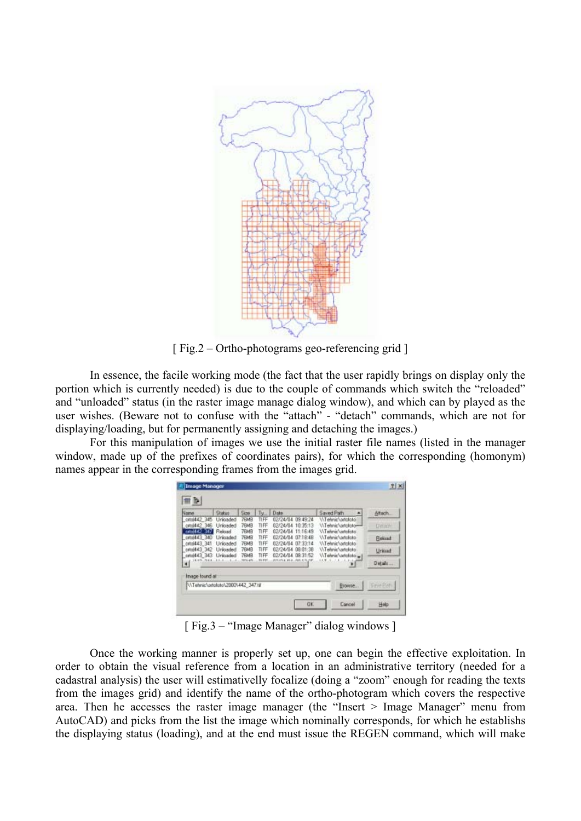

[ Fig.2 – Ortho-photograms geo-referencing grid ]

In essence, the facile working mode (the fact that the user rapidly brings on display only the portion which is currently needed) is due to the couple of commands which switch the "reloaded" and "unloaded" status (in the raster image manage dialog window), and which can by played as the user wishes. (Beware not to confuse with the "attach" - "detach" commands, which are not for displaying/loading, but for permanently assigning and detaching the images.)

For this manipulation of images we use the initial raster file names (listed in the manager window, made up of the prefixes of coordinates pairs), for which the corresponding (homonym) names appear in the corresponding frames from the images grid.

| Name                                     | Status                          | Size                               | $y_{\rm in}$         | Date                                                                 | Saved Path                                                                                                    | Altach.        |
|------------------------------------------|---------------------------------|------------------------------------|----------------------|----------------------------------------------------------------------|---------------------------------------------------------------------------------------------------------------|----------------|
| ottol442 345<br>onol442.346              | Unkladed<br>Unloaded            | <b>7EMB</b><br><b>76MB</b>         | TIFF<br>TIFF         | 02/24/04<br>03:49:24<br>10:35:13<br>02/24/04                         | V/Tehnic/Lortototoi<br>\\Tehnic\ortoloto-<br><b>WTehnic untoloto</b><br>WTehnic/virtoloto<br>WTehnic/ortololo | <b>Detail:</b> |
| cm 442 347<br>onvi443 340<br>onoi443 341 | Relased<br>Unksaded<br>Unloaded | <b>7EMB</b><br><b>7EMB</b><br>76MB | TIFF<br>TIFF<br>TIFF | 02/24/04<br>11:16:49<br>07.18.48<br>02/24/04<br>02/24/04<br>07:33:14 |                                                                                                               | <b>Behaat</b>  |
| onol443 342<br>oftol443 343              | Unloaded<br>Unloaded            | <b>76MB</b><br>76MB                | TIFF<br>TIFF         | 02/24/04<br>08:01:38<br>02/24/04<br>08:31:52                         | \\Tehnic\ortoloto<br>\\Tehnic\ortoloto _                                                                      | Unklast        |
| 1119.924<br>$\blacksquare$               |                                 | <b>HF1.1F1</b>                     | <b>SYSTEM</b>        | demands and unduring the                                             | $\overline{\mathbf{r}}$                                                                                       | Details        |
| Inage found at                           |                                 |                                    |                      |                                                                      |                                                                                                               |                |
| N.Tehnic\ortoloto\2000\442 347.til       |                                 |                                    |                      |                                                                      | Erowse                                                                                                        | <b>Sme Ren</b> |

[ Fig.3 – "Image Manager" dialog windows ]

Once the working manner is properly set up, one can begin the effective exploitation. In order to obtain the visual reference from a location in an administrative territory (needed for a cadastral analysis) the user will estimativelly focalize (doing a "zoom" enough for reading the texts from the images grid) and identify the name of the ortho-photogram which covers the respective area. Then he accesses the raster image manager (the "Insert > Image Manager" menu from AutoCAD) and picks from the list the image which nominally corresponds, for which he establishs the displaying status (loading), and at the end must issue the REGEN command, which will make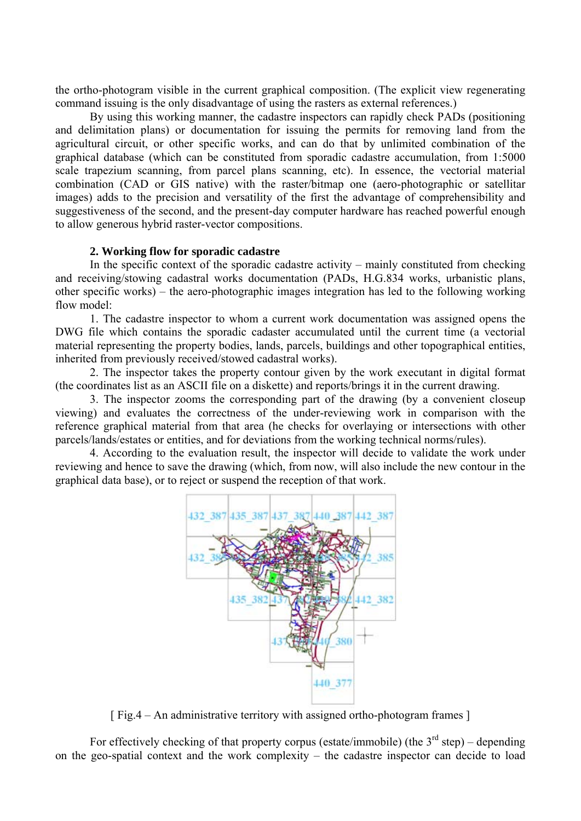the ortho-photogram visible in the current graphical composition. (The explicit view regenerating command issuing is the only disadvantage of using the rasters as external references.)

By using this working manner, the cadastre inspectors can rapidly check PADs (positioning and delimitation plans) or documentation for issuing the permits for removing land from the agricultural circuit, or other specific works, and can do that by unlimited combination of the graphical database (which can be constituted from sporadic cadastre accumulation, from 1:5000 scale trapezium scanning, from parcel plans scanning, etc). In essence, the vectorial material combination (CAD or GIS native) with the raster/bitmap one (aero-photographic or satellitar images) adds to the precision and versatility of the first the advantage of comprehensibility and suggestiveness of the second, and the present-day computer hardware has reached powerful enough to allow generous hybrid raster-vector compositions.

## **2. Working flow for sporadic cadastre**

In the specific context of the sporadic cadastre activity – mainly constituted from checking and receiving/stowing cadastral works documentation (PADs, H.G.834 works, urbanistic plans, other specific works) – the aero-photographic images integration has led to the following working flow model:

1. The cadastre inspector to whom a current work documentation was assigned opens the DWG file which contains the sporadic cadaster accumulated until the current time (a vectorial material representing the property bodies, lands, parcels, buildings and other topographical entities, inherited from previously received/stowed cadastral works).

2. The inspector takes the property contour given by the work executant in digital format (the coordinates list as an ASCII file on a diskette) and reports/brings it in the current drawing.

3. The inspector zooms the corresponding part of the drawing (by a convenient closeup viewing) and evaluates the correctness of the under-reviewing work in comparison with the reference graphical material from that area (he checks for overlaying or intersections with other parcels/lands/estates or entities, and for deviations from the working technical norms/rules).

4. According to the evaluation result, the inspector will decide to validate the work under reviewing and hence to save the drawing (which, from now, will also include the new contour in the graphical data base), or to reject or suspend the reception of that work.



[ Fig.4 – An administrative territory with assigned ortho-photogram frames ]

For effectively checking of that property corpus (estate/immobile) (the  $3<sup>rd</sup>$  step) – depending on the geo-spatial context and the work complexity – the cadastre inspector can decide to load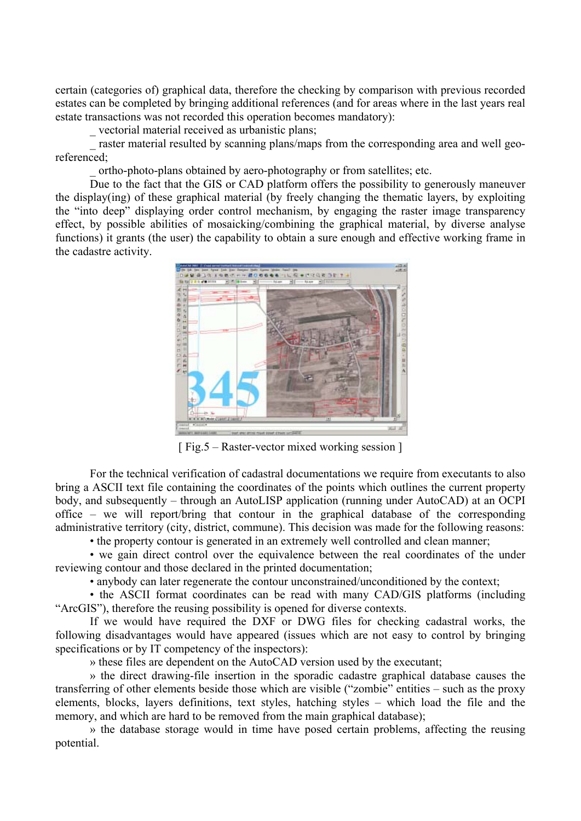certain (categories of) graphical data, therefore the checking by comparison with previous recorded estates can be completed by bringing additional references (and for areas where in the last years real estate transactions was not recorded this operation becomes mandatory):

\_ vectorial material received as urbanistic plans;

 $\frac{1}{x}$  raster material resulted by scanning plans/maps from the corresponding area and well georeferenced;

\_ ortho-photo-plans obtained by aero-photography or from satellites; etc.

Due to the fact that the GIS or CAD platform offers the possibility to generously maneuver the display(ing) of these graphical material (by freely changing the thematic layers, by exploiting the "into deep" displaying order control mechanism, by engaging the raster image transparency effect, by possible abilities of mosaicking/combining the graphical material, by diverse analyse functions) it grants (the user) the capability to obtain a sure enough and effective working frame in the cadastre activity.



[ Fig.5 – Raster-vector mixed working session ]

For the technical verification of cadastral documentations we require from executants to also bring a ASCII text file containing the coordinates of the points which outlines the current property body, and subsequently – through an AutoLISP application (running under AutoCAD) at an OCPI office – we will report/bring that contour in the graphical database of the corresponding administrative territory (city, district, commune). This decision was made for the following reasons:

• the property contour is generated in an extremely well controlled and clean manner;

• we gain direct control over the equivalence between the real coordinates of the under reviewing contour and those declared in the printed documentation;

• anybody can later regenerate the contour unconstrained/unconditioned by the context;

• the ASCII format coordinates can be read with many CAD/GIS platforms (including "ArcGIS"), therefore the reusing possibility is opened for diverse contexts.

If we would have required the DXF or DWG files for checking cadastral works, the following disadvantages would have appeared (issues which are not easy to control by bringing specifications or by IT competency of the inspectors):

» these files are dependent on the AutoCAD version used by the executant;

» the direct drawing-file insertion in the sporadic cadastre graphical database causes the transferring of other elements beside those which are visible ("zombie" entities – such as the proxy elements, blocks, layers definitions, text styles, hatching styles – which load the file and the memory, and which are hard to be removed from the main graphical database);

» the database storage would in time have posed certain problems, affecting the reusing potential.